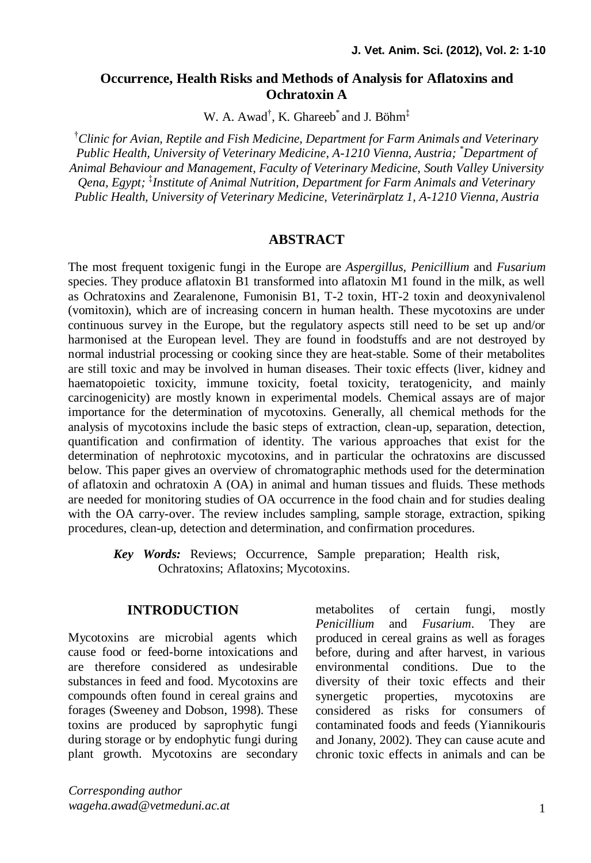### **Occurrence, Health Risks and Methods of Analysis for Aflatoxins and Ochratoxin A**

W. A. Awad<sup>†</sup>, K. Ghareeb<sup>\*</sup> and J. Böhm<sup>‡</sup>

†*Clinic for Avian, Reptile and Fish Medicine, Department for Farm Animals and Veterinary Public Health, University of Veterinary Medicine, A-1210 Vienna, Austria; \*Department of Animal Behaviour and Management, Faculty of Veterinary Medicine, South Valley University Qena, Egypt;* ‡ *Institute of Animal Nutrition, Department for Farm Animals and Veterinary Public Health, University of Veterinary Medicine, Veterinärplatz 1, A-1210 Vienna, Austria*

#### **ABSTRACT**

The most frequent toxigenic fungi in the Europe are *Aspergillus, Penicillium* and *Fusarium*  species. They produce aflatoxin B1 transformed into aflatoxin M1 found in the milk, as well as Ochratoxins and Zearalenone, Fumonisin B1, T-2 toxin, HT-2 toxin and deoxynivalenol (vomitoxin), which are of increasing concern in human health. These mycotoxins are under continuous survey in the Europe, but the regulatory aspects still need to be set up and/or harmonised at the European level. They are found in foodstuffs and are not destroyed by normal industrial processing or cooking since they are heat-stable. Some of their metabolites are still toxic and may be involved in human diseases. Their toxic effects (liver, kidney and haematopoietic toxicity, immune toxicity, foetal toxicity, teratogenicity, and mainly carcinogenicity) are mostly known in experimental models. Chemical assays are of major importance for the determination of mycotoxins. Generally, all chemical methods for the analysis of mycotoxins include the basic steps of extraction, clean-up, separation, detection, quantification and confirmation of identity. The various approaches that exist for the determination of nephrotoxic mycotoxins, and in particular the ochratoxins are discussed below. This paper gives an overview of chromatographic methods used for the determination of aflatoxin and ochratoxin A (OA) in animal and human tissues and fluids. These methods are needed for monitoring studies of OA occurrence in the food chain and for studies dealing with the OA carry-over. The review includes sampling, sample storage, extraction, spiking procedures, clean-up, detection and determination, and confirmation procedures.

*Key Words:* Reviews; Occurrence, Sample preparation; Health risk, Ochratoxins; Aflatoxins; Mycotoxins.

### **INTRODUCTION**

Mycotoxins are microbial agents which cause food or feed-borne intoxications and are therefore considered as undesirable substances in feed and food. Mycotoxins are compounds often found in cereal grains and forages (Sweeney and Dobson, 1998). These toxins are produced by saprophytic fungi during storage or by endophytic fungi during plant growth. Mycotoxins are secondary metabolites of certain fungi, mostly *Penicillium* and *Fusarium*. They are produced in cereal grains as well as forages before, during and after harvest, in various environmental conditions. Due to the diversity of their toxic effects and their synergetic properties, mycotoxins are considered as risks for consumers of contaminated foods and feeds (Yiannikouris and Jonany, 2002). They can cause acute and chronic toxic effects in animals and can be

*Corresponding author wageha.awad@vetmeduni.ac.at*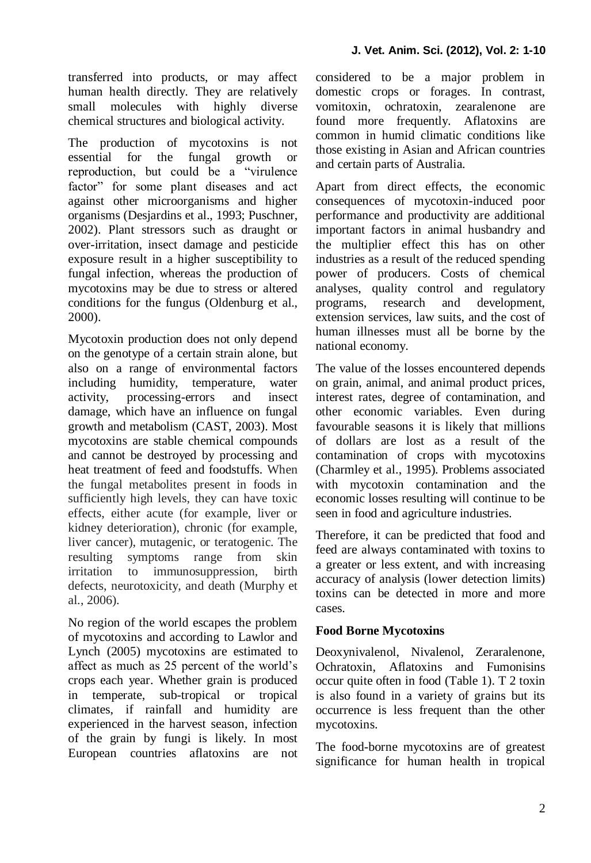transferred into products, or may affect human health directly. They are relatively small molecules with highly diverse chemical structures and biological activity.

The production of mycotoxins is not essential for the fungal growth or reproduction, but could be a "virulence factor" for some plant diseases and act against other microorganisms and higher organisms (Desjardins et al., 1993; Puschner, 2002). Plant stressors such as draught or over-irritation, insect damage and pesticide exposure result in a higher susceptibility to fungal infection, whereas the production of mycotoxins may be due to stress or altered conditions for the fungus (Oldenburg et al., 2000).

Mycotoxin production does not only depend on the genotype of a certain strain alone, but also on a range of environmental factors including humidity, temperature, water activity, processing-errors and insect damage, which have an influence on fungal growth and metabolism (CAST, 2003). Most mycotoxins are stable chemical compounds and cannot be destroyed by processing and heat treatment of feed and foodstuffs. When the fungal metabolites present in foods in sufficiently high levels, they can have toxic effects, either acute (for example, liver or kidney deterioration), chronic (for example, liver cancer), mutagenic, or teratogenic. The resulting symptoms range from skin irritation to immunosuppression, birth defects, neurotoxicity, and death (Murphy et al., 2006).

No region of the world escapes the problem of mycotoxins and according to Lawlor and Lynch (2005) mycotoxins are estimated to affect as much as 25 percent of the world's crops each year. Whether grain is produced in temperate, sub-tropical or tropical climates, if rainfall and humidity are experienced in the harvest season, infection of the grain by fungi is likely. In most European countries aflatoxins are not considered to be a major problem in domestic crops or forages. In contrast, vomitoxin, ochratoxin, zearalenone are found more frequently. Aflatoxins are common in humid climatic conditions like those existing in Asian and African countries and certain parts of Australia.

Apart from direct effects, the economic consequences of mycotoxin-induced poor performance and productivity are additional important factors in animal husbandry and the multiplier effect this has on other industries as a result of the reduced spending power of producers. Costs of chemical analyses, quality control and regulatory programs, research and development, extension services, law suits, and the cost of human illnesses must all be borne by the national economy.

The value of the losses encountered depends on grain, animal, and animal product prices, interest rates, degree of contamination, and other economic variables. Even during favourable seasons it is likely that millions of dollars are lost as a result of the contamination of crops with mycotoxins (Charmley et al., 1995). Problems associated with mycotoxin contamination and the economic losses resulting will continue to be seen in food and agriculture industries.

Therefore, it can be predicted that food and feed are always contaminated with toxins to a greater or less extent, and with increasing accuracy of analysis (lower detection limits) toxins can be detected in more and more cases.

### **Food Borne Mycotoxins**

Deoxynivalenol, Nivalenol, Zeraralenone, Ochratoxin, Aflatoxins and Fumonisins occur quite often in food (Table 1). T 2 toxin is also found in a variety of grains but its occurrence is less frequent than the other mycotoxins.

The food-borne mycotoxins are of greatest significance for human health in tropical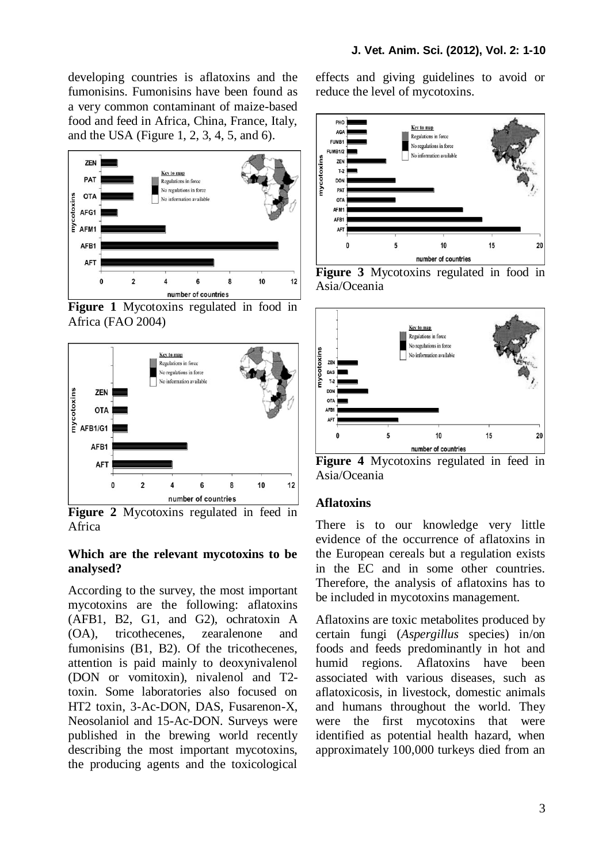developing countries is aflatoxins and the fumonisins. Fumonisins have been found as a very common contaminant of maize-based food and feed in Africa, China, France, Italy, and the USA (Figure 1, 2, 3, 4, 5, and 6).



**Figure 1** Mycotoxins regulated in food in Africa (FAO 2004)



**Figure 2** Mycotoxins regulated in feed in Africa

#### **Which are the relevant mycotoxins to be analysed?**

According to the survey, the most important mycotoxins are the following: aflatoxins (AFB1, B2, G1, and G2), ochratoxin A (OA), tricothecenes, zearalenone and fumonisins (B1, B2). Of the tricothecenes, attention is paid mainly to deoxynivalenol (DON or vomitoxin), nivalenol and T2 toxin. Some laboratories also focused on HT2 toxin, 3-Ac-DON, DAS, Fusarenon-X, Neosolaniol and 15-Ac-DON. Surveys were published in the brewing world recently describing the most important mycotoxins, the producing agents and the toxicological effects and giving guidelines to avoid or reduce the level of mycotoxins.



**Figure 3** Mycotoxins regulated in food in Asia/Oceania



**Figure 4** Mycotoxins regulated in feed in Asia/Oceania

### **Aflatoxins**

There is to our knowledge very little evidence of the occurrence of aflatoxins in the European cereals but a regulation exists in the EC and in some other countries. Therefore, the analysis of aflatoxins has to be included in mycotoxins management.

Aflatoxins are toxic metabolites produced by certain fungi (*Aspergillus* species) in/on foods and feeds predominantly in hot and humid regions. Aflatoxins have been associated with various diseases, such as aflatoxicosis, in livestock, domestic animals and humans throughout the world. They were the first mycotoxins that were identified as potential health hazard, when approximately 100,000 turkeys died from an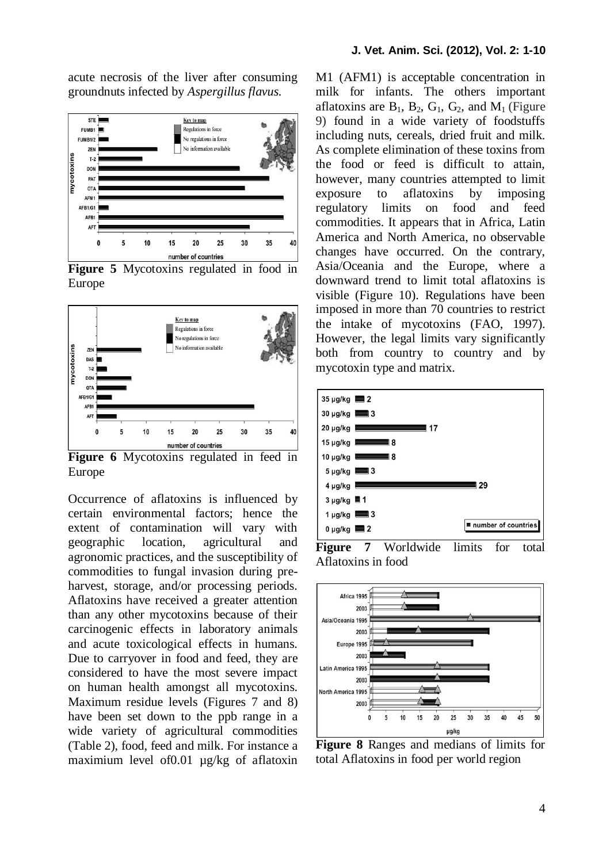acute necrosis of the liver after consuming groundnuts infected by *Aspergillus flavus.*



**Figure 5** Mycotoxins regulated in food in Europe



**Figure 6** Mycotoxins regulated in feed in Europe

Occurrence of aflatoxins is influenced by certain environmental factors; hence the extent of contamination will vary with geographic location, agricultural and agronomic practices, and the susceptibility of commodities to fungal invasion during preharvest, storage, and/or processing periods. Aflatoxins have received a greater attention than any other mycotoxins because of their carcinogenic effects in laboratory animals and acute toxicological effects in humans. Due to carryover in food and feed, they are considered to have the most severe impact on human health amongst all mycotoxins. Maximum residue levels (Figures 7 and 8) have been set down to the ppb range in a wide variety of agricultural commodities (Table 2), food, feed and milk. For instance a maximium level of0.01 µg/kg of aflatoxin M1 (AFM1) is acceptable concentration in milk for infants. The others important aflatoxins are  $B_1$ ,  $B_2$ ,  $G_1$ ,  $G_2$ , and  $M_1$  (Figure 9) found in a wide variety of foodstuffs including nuts, cereals, dried fruit and milk. As complete elimination of these toxins from the food or feed is difficult to attain, however, many countries attempted to limit exposure to aflatoxins by imposing regulatory limits on food and feed commodities. It appears that in Africa, Latin America and North America, no observable changes have occurred. On the contrary, Asia/Oceania and the Europe, where a downward trend to limit total aflatoxins is visible (Figure 10). Regulations have been imposed in more than 70 countries to restrict the intake of mycotoxins (FAO, 1997). However, the legal limits vary significantly both from country to country and by mycotoxin type and matrix.



**Figure 7** Worldwide limits for total Aflatoxins in food



**Figure 8** Ranges and medians of limits for total Aflatoxins in food per world region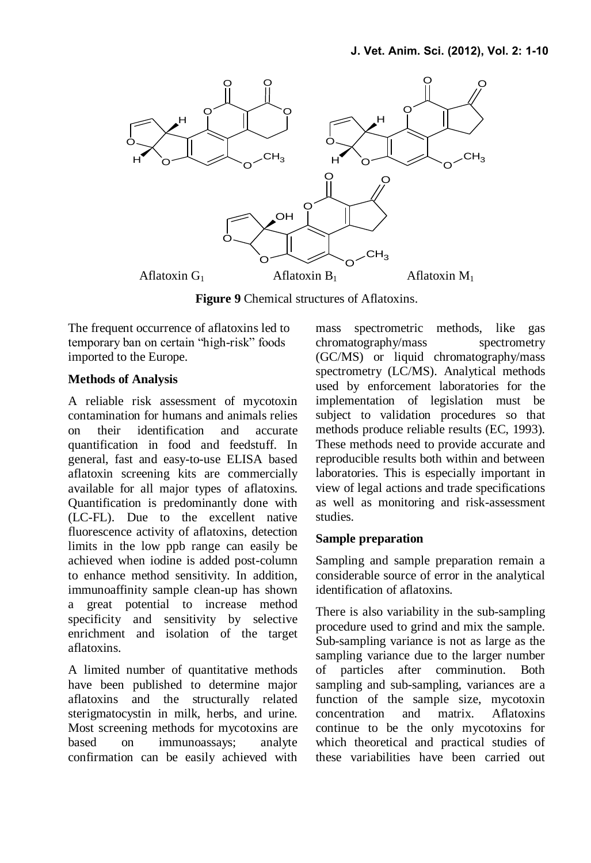

**Figure 9** Chemical structures of Aflatoxins.

The frequent occurrence of aflatoxins led to temporary ban on certain "high-risk" foods imported to the Europe.

#### **Methods of Analysis**

A reliable risk assessment of mycotoxin contamination for humans and animals relies on their identification and accurate quantification in food and feedstuff. In general, fast and easy-to-use ELISA based aflatoxin screening kits are commercially available for all major types of aflatoxins. Quantification is predominantly done with (LC-FL). Due to the excellent native fluorescence activity of aflatoxins, detection limits in the low ppb range can easily be achieved when iodine is added post-column to enhance method sensitivity. In addition, immunoaffinity sample clean-up has shown a great potential to increase method specificity and sensitivity by selective enrichment and isolation of the target aflatoxins.

A limited number of quantitative methods have been published to determine major aflatoxins and the structurally related sterigmatocystin in milk, herbs, and urine. Most screening methods for mycotoxins are based on immunoassays; analyte confirmation can be easily achieved with mass spectrometric methods, like gas chromatography/mass spectrometry (GC/MS) or liquid chromatography/mass spectrometry (LC/MS). Analytical methods used by enforcement laboratories for the implementation of legislation must be subject to validation procedures so that methods produce reliable results (EC, 1993). These methods need to provide accurate and reproducible results both within and between laboratories. This is especially important in view of legal actions and trade specifications as well as monitoring and risk-assessment studies.

### **Sample preparation**

Sampling and sample preparation remain a considerable source of error in the analytical identification of aflatoxins.

There is also variability in the sub-sampling procedure used to grind and mix the sample. Sub-sampling variance is not as large as the sampling variance due to the larger number of particles after comminution. Both sampling and sub-sampling, variances are a function of the sample size, mycotoxin concentration and matrix. Aflatoxins continue to be the only mycotoxins for which theoretical and practical studies of these variabilities have been carried out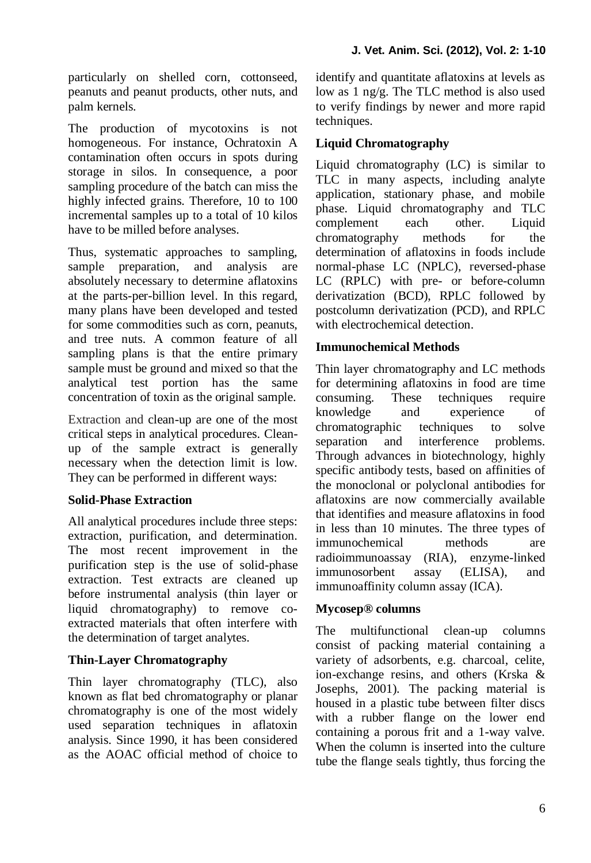particularly on shelled corn, cottonseed, peanuts and peanut products, other nuts, and palm kernels.

The production of mycotoxins is not homogeneous. For instance, Ochratoxin A contamination often occurs in spots during storage in silos. In consequence, a poor sampling procedure of the batch can miss the highly infected grains. Therefore, 10 to 100 incremental samples up to a total of 10 kilos have to be milled before analyses.

Thus, systematic approaches to sampling, sample preparation, and analysis are absolutely necessary to determine aflatoxins at the parts-per-billion level. In this regard, many plans have been developed and tested for some commodities such as corn, peanuts, and tree nuts. A common feature of all sampling plans is that the entire primary sample must be ground and mixed so that the analytical test portion has the same concentration of toxin as the original sample.

Extraction and clean-up are one of the most critical steps in analytical procedures. Cleanup of the sample extract is generally necessary when the detection limit is low. They can be performed in different ways:

### **Solid-Phase Extraction**

All analytical procedures include three steps: extraction, purification, and determination. The most recent improvement in the purification step is the use of solid-phase extraction. Test extracts are cleaned up before instrumental analysis (thin layer or liquid chromatography) to remove coextracted materials that often interfere with the determination of target analytes.

### **Thin-Layer Chromatography**

Thin layer chromatography (TLC), also known as flat bed chromatography or planar chromatography is one of the most widely used separation techniques in aflatoxin analysis. Since 1990, it has been considered as the AOAC official method of choice to identify and quantitate aflatoxins at levels as low as 1 ng/g. The TLC method is also used to verify findings by newer and more rapid techniques.

# **Liquid Chromatography**

Liquid chromatography (LC) is similar to TLC in many aspects, including analyte application, stationary phase, and mobile phase. Liquid chromatography and TLC complement each other. Liquid chromatography methods for the determination of aflatoxins in foods include normal-phase LC (NPLC), reversed-phase LC (RPLC) with pre- or before-column derivatization (BCD), RPLC followed by postcolumn derivatization (PCD), and RPLC with electrochemical detection

## **Immunochemical Methods**

Thin layer chromatography and LC methods for determining aflatoxins in food are time consuming. These techniques require knowledge and experience of chromatographic techniques to solve separation and interference problems. Through advances in biotechnology, highly specific antibody tests, based on affinities of the monoclonal or polyclonal antibodies for aflatoxins are now commercially available that identifies and measure aflatoxins in food in less than 10 minutes. The three types of immunochemical methods are radioimmunoassay (RIA), enzyme-linked immunosorbent assay (ELISA), and immunoaffinity column assay (ICA).

### **Mycosep® columns**

The multifunctional clean-up columns consist of packing material containing a variety of adsorbents, e.g. charcoal, celite, ion-exchange resins, and others (Krska & Josephs, 2001). The packing material is housed in a plastic tube between filter discs with a rubber flange on the lower end containing a porous frit and a 1-way valve. When the column is inserted into the culture tube the flange seals tightly, thus forcing the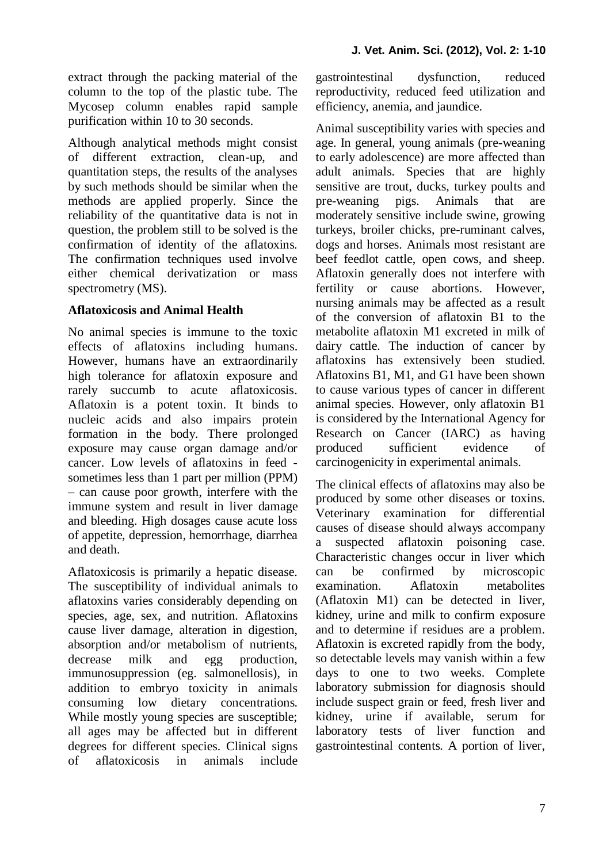extract through the packing material of the column to the top of the plastic tube. The Mycosep column enables rapid sample purification within 10 to 30 seconds.

Although analytical methods might consist of different extraction, clean-up, and quantitation steps, the results of the analyses by such methods should be similar when the methods are applied properly. Since the reliability of the quantitative data is not in question, the problem still to be solved is the confirmation of identity of the aflatoxins. The confirmation techniques used involve either chemical derivatization or mass spectrometry (MS).

# **Aflatoxicosis and Animal Health**

No animal species is immune to the toxic effects of aflatoxins including humans. However, humans have an extraordinarily high tolerance for aflatoxin exposure and rarely succumb to acute aflatoxicosis. Aflatoxin is a potent toxin. It binds to nucleic acids and also impairs protein formation in the body. There prolonged exposure may cause organ damage and/or cancer. Low levels of aflatoxins in feed sometimes less than 1 part per million (PPM) – can cause poor growth, interfere with the immune system and result in liver damage and bleeding. High dosages cause acute loss of appetite, depression, hemorrhage, diarrhea and death.

Aflatoxicosis is primarily a hepatic disease. The susceptibility of individual animals to aflatoxins varies considerably depending on species, age, sex, and nutrition. Aflatoxins cause liver damage, alteration in digestion, absorption and/or metabolism of nutrients, decrease milk and egg production, immunosuppression (eg. salmonellosis), in addition to embryo toxicity in animals consuming low dietary concentrations. While mostly young species are susceptible; all ages may be affected but in different degrees for different species. Clinical signs of aflatoxicosis in animals include gastrointestinal dysfunction, reduced reproductivity, reduced feed utilization and efficiency, anemia, and jaundice.

Animal susceptibility varies with species and age. In general, young animals (pre-weaning to early adolescence) are more affected than adult animals. Species that are highly sensitive are trout, ducks, turkey poults and pre-weaning pigs. Animals that are moderately sensitive include swine, growing turkeys, broiler chicks, pre-ruminant calves, dogs and horses. Animals most resistant are beef feedlot cattle, open cows, and sheep. Aflatoxin generally does not interfere with fertility or cause abortions. However, nursing animals may be affected as a result of the conversion of aflatoxin B1 to the metabolite aflatoxin M1 excreted in milk of dairy cattle. The induction of cancer by aflatoxins has extensively been studied. Aflatoxins B1, M1, and G1 have been shown to cause various types of cancer in different animal species. However, only aflatoxin B1 is considered by the International Agency for Research on Cancer (IARC) as having produced sufficient evidence of carcinogenicity in experimental animals.

The clinical effects of aflatoxins may also be produced by some other diseases or toxins. Veterinary examination for differential causes of disease should always accompany a suspected aflatoxin poisoning case. Characteristic changes occur in liver which can be confirmed by microscopic examination. Aflatoxin metabolites (Aflatoxin M1) can be detected in liver, kidney, urine and milk to confirm exposure and to determine if residues are a problem. Aflatoxin is excreted rapidly from the body, so detectable levels may vanish within a few days to one to two weeks. Complete laboratory submission for diagnosis should include suspect grain or feed, fresh liver and kidney, urine if available, serum for laboratory tests of liver function and gastrointestinal contents. A portion of liver,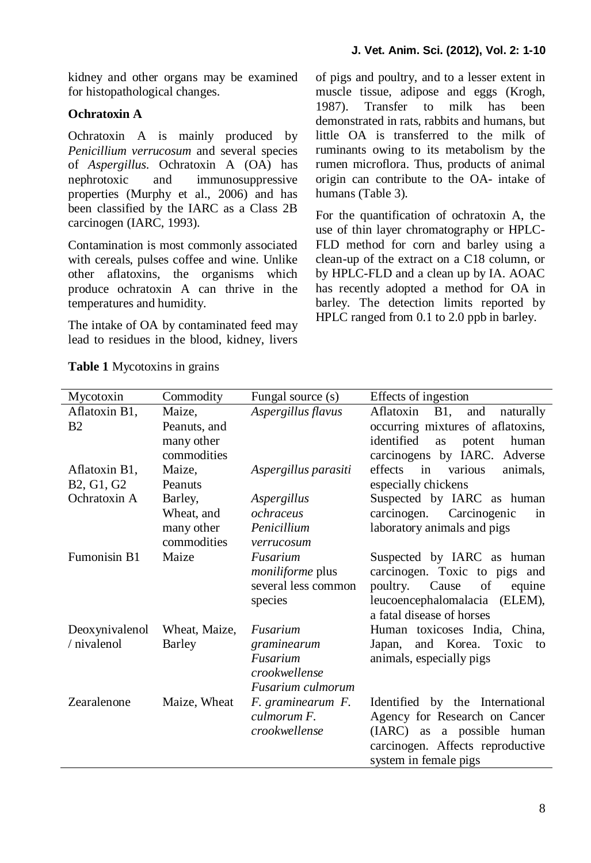kidney and other organs may be examined for histopathological changes.

# **Ochratoxin A**

Ochratoxin A is mainly produced by *Penicillium verrucosum* and several species of *Aspergillus*. Ochratoxin A (OA) has nephrotoxic and immunosuppressive properties (Murphy et al., 2006) and has been classified by the IARC as a Class 2B carcinogen (IARC, 1993).

Contamination is most commonly associated with cereals, pulses coffee and wine. Unlike other aflatoxins, the organisms which produce ochratoxin A can thrive in the temperatures and humidity.

The intake of OA by contaminated feed may lead to residues in the blood, kidney, livers of pigs and poultry, and to a lesser extent in muscle tissue, adipose and eggs (Krogh, 1987). Transfer to milk has been demonstrated in rats, rabbits and humans, but little OA is transferred to the milk of ruminants owing to its metabolism by the rumen microflora. Thus, products of animal origin can contribute to the OA- intake of humans (Table 3).

For the quantification of ochratoxin A, the use of thin layer chromatography or HPLC-FLD method for corn and barley using a clean-up of the extract on a C18 column, or by HPLC-FLD and a clean up by IA. AOAC has recently adopted a method for OA in barley. The detection limits reported by HPLC ranged from 0.1 to 2.0 ppb in barley.

| Mycotoxin      | Commodity     | Fungal source (s)       | Effects of ingestion                 |  |
|----------------|---------------|-------------------------|--------------------------------------|--|
| Aflatoxin B1,  | Maize,        | Aspergillus flavus      | B1, and<br>Aflatoxin<br>naturally    |  |
| <b>B2</b>      | Peanuts, and  |                         | occurring mixtures of aflatoxins,    |  |
|                | many other    |                         | identified<br>human<br>potent<br>as  |  |
|                | commodities   |                         | carcinogens by IARC. Adverse         |  |
| Aflatoxin B1,  | Maize.        | Aspergillus parasiti    | effects<br>in<br>various<br>animals. |  |
| B2, G1, G2     | Peanuts       |                         | especially chickens                  |  |
| Ochratoxin A   | Barley,       | Aspergillus             | Suspected by IARC as human           |  |
|                | Wheat, and    | ochraceus               | carcinogen.<br>Carcinogenic<br>in    |  |
|                | many other    | Penicillium             | laboratory animals and pigs          |  |
|                | commodities   | verrucosum              |                                      |  |
| Fumonisin B1   | Maize         | Fusarium                | Suspected by IARC as human           |  |
|                |               | <i>moniliforme</i> plus | carcinogen. Toxic to pigs and        |  |
|                |               | several less common     | poultry.<br>of<br>Cause<br>equine    |  |
|                |               | species                 | leucoencephalomalacia<br>(ELEM),     |  |
|                |               |                         | a fatal disease of horses            |  |
| Deoxynivalenol | Wheat, Maize, | Fusarium                | Human toxicoses India, China,        |  |
| / nivalenol    | Barley        | graminearum             | and Korea. Toxic<br>Japan,<br>to     |  |
|                |               | Fusarium                | animals, especially pigs             |  |
|                |               | crookwellense           |                                      |  |
|                |               | Fusarium culmorum       |                                      |  |
| Zearalenone    | Maize, Wheat  | F. graminearum F.       | Identified by the International      |  |
|                |               | culmorum F.             | Agency for Research on Cancer        |  |
|                |               | crookwellense           | (IARC) as a possible human           |  |
|                |               |                         | carcinogen. Affects reproductive     |  |
|                |               |                         | system in female pigs                |  |

**Table 1** Mycotoxins in grains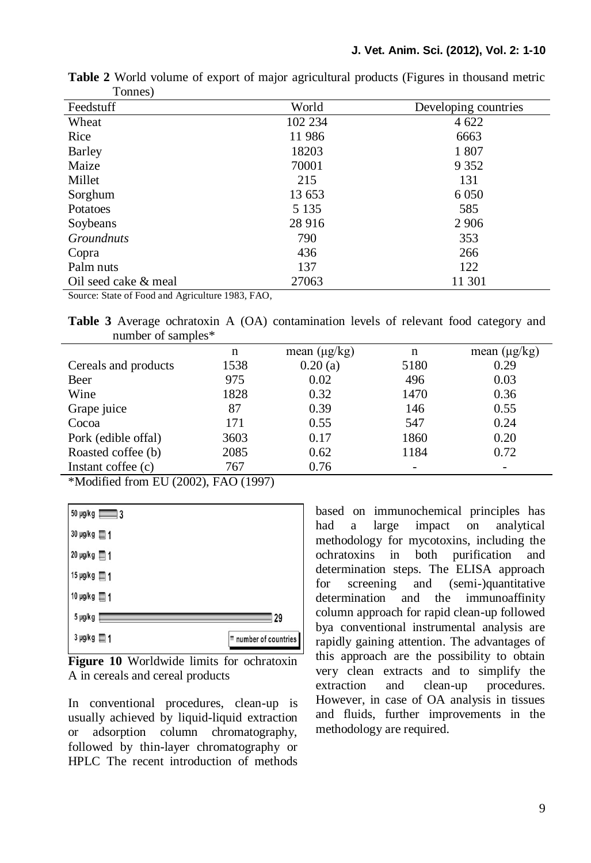| 1 UHRUU L            |         |                      |  |  |  |
|----------------------|---------|----------------------|--|--|--|
| Feedstuff            | World   | Developing countries |  |  |  |
| Wheat                | 102 234 | 4 6 22               |  |  |  |
| Rice                 | 11986   | 6663                 |  |  |  |
| <b>Barley</b>        | 18203   | 1807                 |  |  |  |
| Maize                | 70001   | 9 3 5 2              |  |  |  |
| Millet               | 215     | 131                  |  |  |  |
| Sorghum              | 13 653  | 6 0 5 0              |  |  |  |
| Potatoes             | 5 1 3 5 | 585                  |  |  |  |
| Soybeans             | 28 916  | 2 9 0 6              |  |  |  |
| <i>Groundnuts</i>    | 790     | 353                  |  |  |  |
| Copra                | 436     | 266                  |  |  |  |
| Palm nuts            | 137     | 122                  |  |  |  |
| Oil seed cake & meal | 27063   | 11 301               |  |  |  |
| .<br>.               |         |                      |  |  |  |

**Table 2** World volume of export of major agricultural products (Figures in thousand metric Tonnes)

Source: State of Food and Agriculture 1983, FAO,

**Table 3** Average ochratoxin A (OA) contamination levels of relevant food category and number of samples\*

|                      | n    | mean $(\mu g/kg)$ | n    | mean $(\mu g/kg)$ |  |  |
|----------------------|------|-------------------|------|-------------------|--|--|
| Cereals and products | 1538 | 0.20(a)           | 5180 | 0.29              |  |  |
| Beer                 | 975  | 0.02              | 496  | 0.03              |  |  |
| Wine                 | 1828 | 0.32              | 1470 | 0.36              |  |  |
| Grape juice          | 87   | 0.39              | 146  | 0.55              |  |  |
| Cocoa                | 171  | 0.55              | 547  | 0.24              |  |  |
| Pork (edible offal)  | 3603 | 0.17              | 1860 | 0.20              |  |  |
| Roasted coffee (b)   | 2085 | 0.62              | 1184 | 0.72              |  |  |
| Instant coffee (c)   | 767  | 0.76              |      |                   |  |  |
|                      |      |                   |      |                   |  |  |

```
*Modified from EU (2002), FAO (1997)
```


**Figure 10** Worldwide limits for ochratoxin A in cereals and cereal products

In conventional procedures, clean-up is usually achieved by liquid-liquid extraction or adsorption column chromatography, followed by thin-layer chromatography or HPLC The recent introduction of methods based on immunochemical principles has had a large impact on analytical methodology for mycotoxins, including the ochratoxins in both purification and determination steps. The ELISA approach for screening and (semi-)quantitative determination and the immunoaffinity column approach for rapid clean-up followed bya conventional instrumental analysis are rapidly gaining attention. The advantages of this approach are the possibility to obtain very clean extracts and to simplify the extraction and clean-up procedures. However, in case of OA analysis in tissues and fluids, further improvements in the methodology are required.